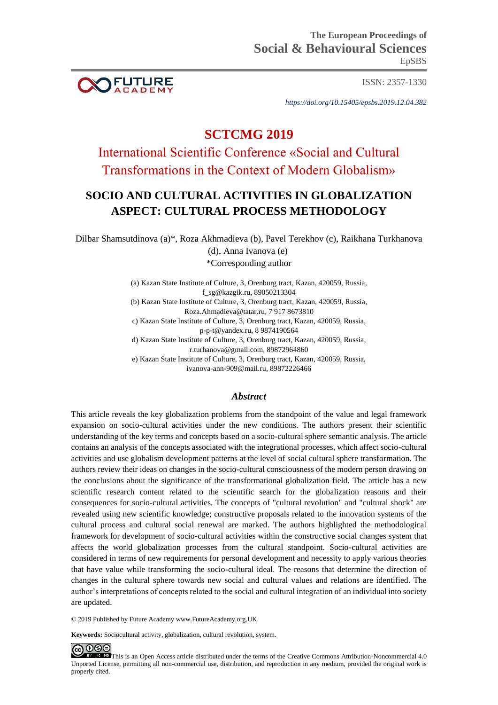

ISSN: 2357-1330

*https://doi.org/10.15405/epsbs.2019.12.04.382*

# **SCTCMG 2019**

International Scientific Conference «Social and Cultural Transformations in the Context of Modern Globalism»

## **SOCIO AND CULTURAL ACTIVITIES IN GLOBALIZATION ASPECT: CULTURAL PROCESS METHODOLOGY**

Dilbar Shamsutdinova (a)\*, Roza Akhmadieva (b), Pavel Terekhov (c), Raikhana Turkhanova (d), Anna Ivanova (e) \*Corresponding author

> (a) Kazan State Institute of Culture, 3, Orenburg tract, Kazan, 420059, Russia, [f\\_sg@kazgik.ru,](mailto:f_sg@kazgik.ru) 89050213304 (b) Kazan State Institute of Culture, 3, Orenburg tract, Kazan, 420059, Russia, [Roza.Ahmadieva@tatar.ru,](mailto:Roza.Ahmadieva@tatar.ru) 7 917 8673810 c) Kazan State Institute of Culture, 3, Orenburg tract, Kazan, 420059, Russia, [p-p-t@yandex.ru,](mailto:p-p-t@yandex.ru) 8 9874190564 d) Kazan State Institute of Culture, 3, Orenburg tract, Kazan, 420059, Russia, [r.turhanova@gmail.com,](https://e.mail.ru/compose/?mailto=mailto%3ar.turhanova@gmail.com) 89872964860

e) Kazan State Institute of Culture, 3, Orenburg tract, Kazan, 420059, Russia, [ivanova-ann-909@mail.ru,](mailto:ivanova-ann-909@mail.ru) 89872226466

## *Abstract*

This article reveals the key globalization problems from the standpoint of the value and legal framework expansion on socio-cultural activities under the new conditions. The authors present their scientific understanding of the key terms and concepts based on a socio-cultural sphere semantic analysis. The article contains an analysis of the concepts associated with the integrational processes, which affect socio-cultural activities and use globalism development patterns at the level of social cultural sphere transformation. The authors review their ideas on changes in the socio-cultural consciousness of the modern person drawing on the conclusions about the significance of the transformational globalization field. The article has a new scientific research content related to the scientific search for the globalization reasons and their consequences for socio-cultural activities. The concepts of "cultural revolution" and "cultural shock" are revealed using new scientific knowledge; constructive proposals related to the innovation systems of the cultural process and cultural social renewal are marked. The authors highlighted the methodological framework for development of socio-cultural activities within the constructive social changes system that affects the world globalization processes from the cultural standpoint. Socio-cultural activities are considered in terms of new requirements for personal development and necessity to apply various theories that have value while transforming the socio-cultural ideal. The reasons that determine the direction of changes in the cultural sphere towards new social and cultural values and relations are identified. The author's interpretations of concepts related to the social and cultural integration of an individual into society are updated.

© 2019 Published by Future Academy www.FutureAcademy.org.UK

**Keywords:** Sociocultural activity, globalization, cultural revolution, system.



This is an Open Access article distributed under the terms of the Creative Commons Attribution-Noncommercial 4.0 Unported License, permitting all non-commercial use, distribution, and reproduction in any medium, provided the original work is properly cited.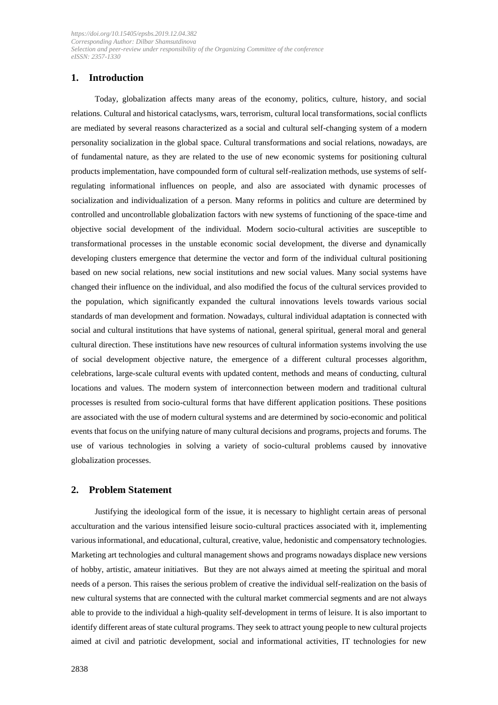## **1. Introduction**

Today, globalization affects many areas of the economy, politics, culture, history, and social relations. Cultural and historical cataclysms, wars, terrorism, cultural local transformations, social conflicts are mediated by several reasons characterized as a social and cultural self-changing system of a modern personality socialization in the global space. Cultural transformations and social relations, nowadays, are of fundamental nature, as they are related to the use of new economic systems for positioning cultural products implementation, have compounded form of cultural self-realization methods, use systems of selfregulating informational influences on people, and also are associated with dynamic processes of socialization and individualization of a person. Many reforms in politics and culture are determined by controlled and uncontrollable globalization factors with new systems of functioning of the space-time and objective social development of the individual. Modern socio-cultural activities are susceptible to transformational processes in the unstable economic social development, the diverse and dynamically developing clusters emergence that determine the vector and form of the individual cultural positioning based on new social relations, new social institutions and new social values. Many social systems have changed their influence on the individual, and also modified the focus of the cultural services provided to the population, which significantly expanded the cultural innovations levels towards various social standards of man development and formation. Nowadays, cultural individual adaptation is connected with social and cultural institutions that have systems of national, general spiritual, general moral and general cultural direction. These institutions have new resources of cultural information systems involving the use of social development objective nature, the emergence of a different cultural processes algorithm, celebrations, large-scale cultural events with updated content, methods and means of conducting, cultural locations and values. The modern system of interconnection between modern and traditional cultural processes is resulted from socio-cultural forms that have different application positions. These positions are associated with the use of modern cultural systems and are determined by socio-economic and political events that focus on the unifying nature of many cultural decisions and programs, projects and forums. The use of various technologies in solving a variety of socio-cultural problems caused by innovative globalization processes.

## **2. Problem Statement**

Justifying the ideological form of the issue, it is necessary to highlight certain areas of personal acculturation and the various intensified leisure socio-cultural practices associated with it, implementing various informational, and educational, cultural, creative, value, hedonistic and compensatory technologies. Marketing art technologies and cultural management shows and programs nowadays displace new versions of hobby, artistic, amateur initiatives. But they are not always aimed at meeting the spiritual and moral needs of a person. This raises the serious problem of creative the individual self-realization on the basis of new cultural systems that are connected with the cultural market commercial segments and are not always able to provide to the individual a high-quality self-development in terms of leisure. It is also important to identify different areas of state cultural programs. They seek to attract young people to new cultural projects aimed at civil and patriotic development, social and informational activities, IT technologies for new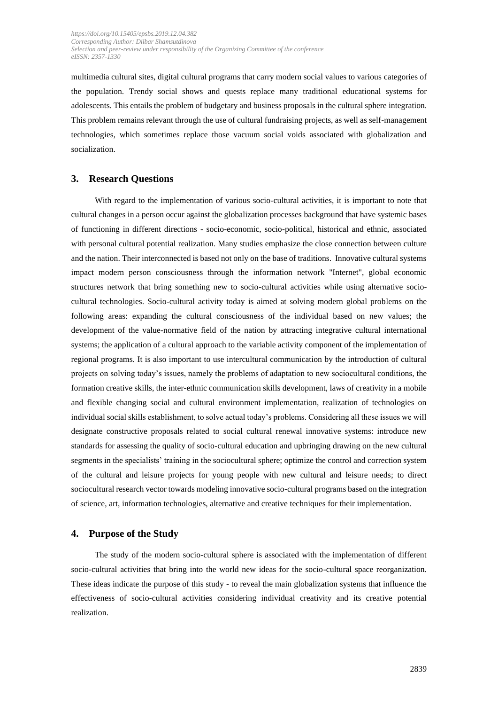multimedia cultural sites, digital cultural programs that carry modern social values to various categories of the population. Trendy social shows and quests replace many traditional educational systems for adolescents. This entails the problem of budgetary and business proposals in the cultural sphere integration. This problem remains relevant through the use of cultural fundraising projects, as well as self-management technologies, which sometimes replace those vacuum social voids associated with globalization and socialization.

## **3. Research Questions**

With regard to the implementation of various socio-cultural activities, it is important to note that cultural changes in a person occur against the globalization processes background that have systemic bases of functioning in different directions - socio-economic, socio-political, historical and ethnic, associated with personal cultural potential realization. Many studies emphasize the close connection between culture and the nation. Their interconnected is based not only on the base of traditions. Innovative cultural systems impact modern person consciousness through the information network "Internet", global economic structures network that bring something new to socio-cultural activities while using alternative sociocultural technologies. Socio-cultural activity today is aimed at solving modern global problems on the following areas: expanding the cultural consciousness of the individual based on new values; the development of the value-normative field of the nation by attracting integrative cultural international systems; the application of a cultural approach to the variable activity component of the implementation of regional programs. It is also important to use intercultural communication by the introduction of cultural projects on solving today's issues, namely the problems of adaptation to new sociocultural conditions, the formation creative skills, the inter-ethnic communication skills development, laws of creativity in a mobile and flexible changing social and cultural environment implementation, realization of technologies on individual social skills establishment, to solve actual today's problems. Considering all these issues we will designate constructive proposals related to social cultural renewal innovative systems: introduce new standards for assessing the quality of socio-cultural education and upbringing drawing on the new cultural segments in the specialists' training in the sociocultural sphere; optimize the control and correction system of the cultural and leisure projects for young people with new cultural and leisure needs; to direct sociocultural research vector towards modeling innovative socio-cultural programs based on the integration of science, art, information technologies, alternative and creative techniques for their implementation.

#### **4. Purpose of the Study**

The study of the modern socio-cultural sphere is associated with the implementation of different socio-cultural activities that bring into the world new ideas for the socio-cultural space reorganization. These ideas indicate the purpose of this study - to reveal the main globalization systems that influence the effectiveness of socio-cultural activities considering individual creativity and its creative potential realization.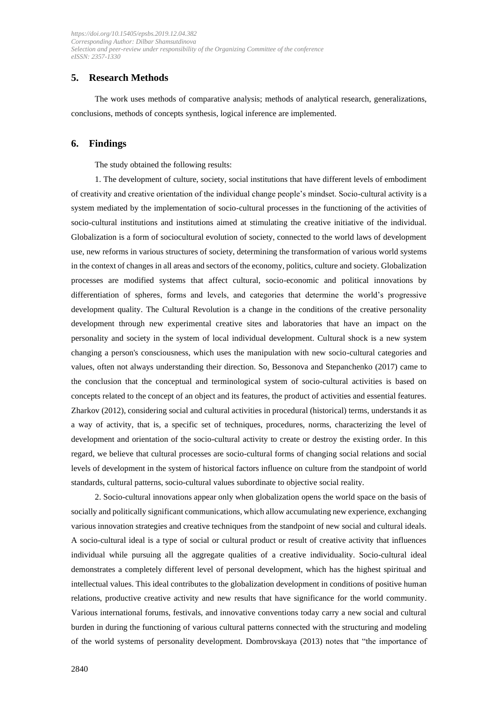## **5. Research Methods**

The work uses methods of comparative analysis; methods of analytical research, generalizations, conclusions, methods of concepts synthesis, logical inference are implemented.

## **6. Findings**

The study obtained the following results:

1. The development of culture, society, social institutions that have different levels of embodiment of creativity and creative orientation of the individual change people's mindset. Socio-cultural activity is a system mediated by the implementation of socio-cultural processes in the functioning of the activities of socio-cultural institutions and institutions aimed at stimulating the creative initiative of the individual. Globalization is a form of sociocultural evolution of society, connected to the world laws of development use, new reforms in various structures of society, determining the transformation of various world systems in the context of changes in all areas and sectors of the economy, politics, culture and society. Globalization processes are modified systems that affect cultural, socio-economic and political innovations by differentiation of spheres, forms and levels, and categories that determine the world's progressive development quality. The Cultural Revolution is a change in the conditions of the creative personality development through new experimental creative sites and laboratories that have an impact on the personality and society in the system of local individual development. Cultural shock is a new system changing a person's consciousness, which uses the manipulation with new socio-cultural categories and values, often not always understanding their direction. So, Bessonova and Stepanchenko (2017) came to the conclusion that the conceptual and terminological system of socio-cultural activities is based on concepts related to the concept of an object and its features, the product of activities and essential features. Zharkov (2012), considering social and cultural activities in procedural (historical) terms, understands it as a way of activity, that is, a specific set of techniques, procedures, norms, characterizing the level of development and orientation of the socio-cultural activity to create or destroy the existing order. In this regard, we believe that cultural processes are socio-cultural forms of changing social relations and social levels of development in the system of historical factors influence on culture from the standpoint of world standards, cultural patterns, socio-cultural values subordinate to objective social reality.

2. Socio-cultural innovations appear only when globalization opens the world space on the basis of socially and politically significant communications, which allow accumulating new experience, exchanging various innovation strategies and creative techniques from the standpoint of new social and cultural ideals. A socio-cultural ideal is a type of social or cultural product or result of creative activity that influences individual while pursuing all the aggregate qualities of a creative individuality. Socio-cultural ideal demonstrates a completely different level of personal development, which has the highest spiritual and intellectual values. This ideal contributes to the globalization development in conditions of positive human relations, productive creative activity and new results that have significance for the world community. Various international forums, festivals, and innovative conventions today carry a new social and cultural burden in during the functioning of various cultural patterns connected with the structuring and modeling of the world systems of personality development. Dombrovskaya (2013) notes that "the importance of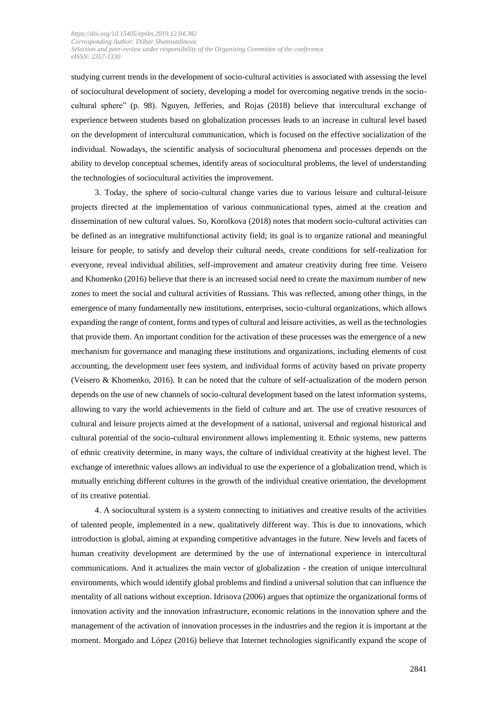studying current trends in the development of socio-cultural activities is associated with assessing the level of sociocultural development of society, developing a model for overcoming negative trends in the sociocultural sphere" (p. 98). Nguyen, Jefferies, and Rojas (2018) believe that intercultural exchange of experience between students based on globalization processes leads to an increase in cultural level based on the development of intercultural communication, which is focused on the effective socialization of the individual. Nowadays, the scientific analysis of sociocultural phenomena and processes depends on the ability to develop conceptual schemes, identify areas of sociocultural problems, the level of understanding the technologies of sociocultural activities the improvement.

3. Today, the sphere of socio-cultural change varies due to various leisure and cultural-leisure projects directed at the implementation of various communicational types, aimed at the creation and dissemination of new cultural values. So, Korolkova (2018) notes that modern socio-cultural activities can be defined as an integrative multifunctional activity field; its goal is to organize rational and meaningful leisure for people, to satisfy and develop their cultural needs, create conditions for self-realization for everyone, reveal individual abilities, self-improvement and amateur creativity during free time. Veisero and Khomenko (2016) believe that there is an increased social need to create the maximum number of new zones to meet the social and cultural activities of Russians. This was reflected, among other things, in the emergence of many fundamentally new institutions, enterprises, socio-cultural organizations, which allows expanding the range of content, forms and types of cultural and leisure activities, as well as the technologies that provide them. An important condition for the activation of these processes was the emergence of a new mechanism for governance and managing these institutions and organizations, including elements of cost accounting, the development user fees system, and individual forms of activity based on private property (Veisero & Khomenko, 2016). It can be noted that the culture of self-actualization of the modern person depends on the use of new channels of socio-cultural development based on the latest information systems, allowing to vary the world achievements in the field of culture and art. The use of creative resources of cultural and leisure projects aimed at the development of a national, universal and regional historical and cultural potential of the socio-cultural environment allows implementing it. Ethnic systems, new patterns of ethnic creativity determine, in many ways, the culture of individual creativity at the highest level. The exchange of interethnic values allows an individual to use the experience of a globalization trend, which is mutually enriching different cultures in the growth of the individual creative orientation, the development of its creative potential.

4. A sociocultural system is a system connecting to initiatives and creative results of the activities of talented people, implemented in a new, qualitatively different way. This is due to innovations, which introduction is global, aiming at expanding competitive advantages in the future. New levels and facets of human creativity development are determined by the use of international experience in intercultural communications. And it actualizes the main vector of globalization - the creation of unique intercultural environments, which would identify global problems and findind a universal solution that can influence the mentality of all nations without exception. Idrisova (2006) argues that optimize the organizational forms of innovation activity and the innovation infrastructure, economic relations in the innovation sphere and the management of the activation of innovation processes in the industries and the region it is important at the moment. Morgado and López (2016) believe that Internet technologies significantly expand the scope of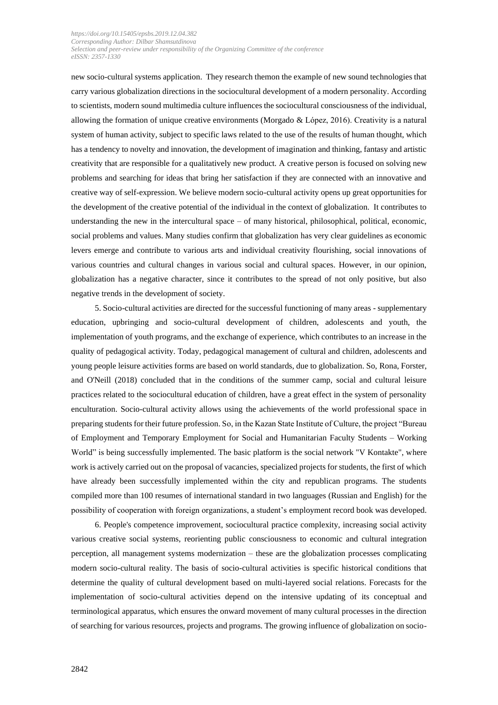new socio-cultural systems application. They research themon the example of new sound technologies that carry various globalization directions in the sociocultural development of a modern personality. According to scientists, modern sound multimedia culture influences the sociocultural consciousness of the individual, allowing the formation of unique creative environments (Morgado & López, 2016). Creativity is a natural system of human activity, subject to specific laws related to the use of the results of human thought, which has a tendency to novelty and innovation, the development of imagination and thinking, fantasy and artistic creativity that are responsible for a qualitatively new product. A creative person is focused on solving new problems and searching for ideas that bring her satisfaction if they are connected with an innovative and creative way of self-expression. We believe modern socio-cultural activity opens up great opportunities for the development of the creative potential of the individual in the context of globalization. It contributes to understanding the new in the intercultural space – of many historical, philosophical, political, economic, social problems and values. Many studies confirm that globalization has very clear guidelines as economic levers emerge and contribute to various arts and individual creativity flourishing, social innovations of various countries and cultural changes in various social and cultural spaces. However, in our opinion, globalization has a negative character, since it contributes to the spread of not only positive, but also negative trends in the development of society.

5. Socio-cultural activities are directed for the successful functioning of many areas - supplementary education, upbringing and socio-cultural development of children, adolescents and youth, the implementation of youth programs, and the exchange of experience, which contributes to an increase in the quality of pedagogical activity. Today, pedagogical management of cultural and children, adolescents and young people leisure activities forms are based on world standards, due to globalization. So, Rona, Forster, and O'Neill (2018) concluded that in the conditions of the summer camp, social and cultural leisure practices related to the sociocultural education of children, have a great effect in the system of personality enculturation. Socio-cultural activity allows using the achievements of the world professional space in preparing students for their future profession. So, in the Kazan State Institute of Culture, the project "Bureau of Employment and Temporary Employment for Social and Humanitarian Faculty Students – Working World" is being successfully implemented. The basic platform is the social network "V Kontakte", where work is actively carried out on the proposal of vacancies, specialized projects for students, the first of which have already been successfully implemented within the city and republican programs. The students compiled more than 100 resumes of international standard in two languages (Russian and English) for the possibility of cooperation with foreign organizations, a student's employment record book was developed.

6. People's competence improvement, sociocultural practice complexity, increasing social activity various creative social systems, reorienting public consciousness to economic and cultural integration perception, all management systems modernization – these are the globalization processes complicating modern socio-cultural reality. The basis of socio-cultural activities is specific historical conditions that determine the quality of cultural development based on multi-layered social relations. Forecasts for the implementation of socio-cultural activities depend on the intensive updating of its conceptual and terminological apparatus, which ensures the onward movement of many cultural processes in the direction of searching for various resources, projects and programs. The growing influence of globalization on socio-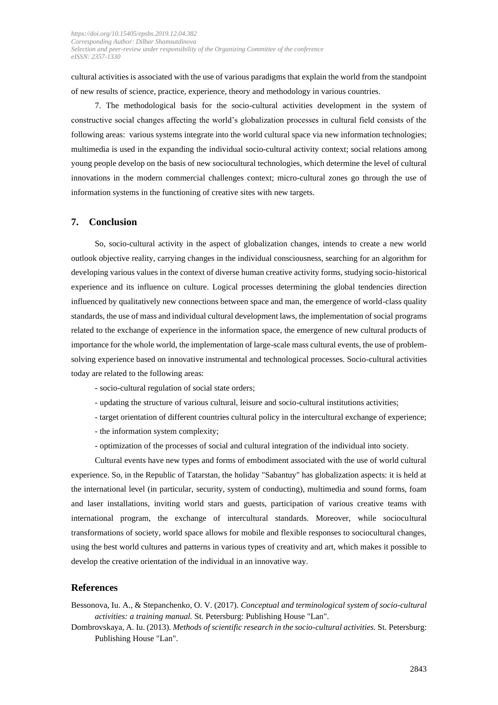cultural activities is associated with the use of various paradigms that explain the world from the standpoint of new results of science, practice, experience, theory and methodology in various countries.

7. The methodological basis for the socio-cultural activities development in the system of constructive social changes affecting the world's globalization processes in cultural field consists of the following areas: various systems integrate into the world cultural space via new information technologies; multimedia is used in the expanding the individual socio-cultural activity context; social relations among young people develop on the basis of new sociocultural technologies, which determine the level of cultural innovations in the modern commercial challenges context; micro-cultural zones go through the use of information systems in the functioning of creative sites with new targets.

## **7. Conclusion**

So, socio-cultural activity in the aspect of globalization changes, intends to create a new world outlook objective reality, carrying changes in the individual consciousness, searching for an algorithm for developing various values in the context of diverse human creative activity forms, studying socio-historical experience and its influence on culture. Logical processes determining the global tendencies direction influenced by qualitatively new connections between space and man, the emergence of world-class quality standards, the use of mass and individual cultural development laws, the implementation of social programs related to the exchange of experience in the information space, the emergence of new cultural products of importance for the whole world, the implementation of large-scale mass cultural events, the use of problemsolving experience based on innovative instrumental and technological processes. Socio-cultural activities today are related to the following areas:

- socio-cultural regulation of social state orders;
- updating the structure of various cultural, leisure and socio-cultural institutions activities;
- target orientation of different countries cultural policy in the intercultural exchange of experience;
- the information system complexity;
- optimization of the processes of social and cultural integration of the individual into society.

Cultural events have new types and forms of embodiment associated with the use of world cultural experience. So, in the Republic of Tatarstan, the holiday "Sabantuy" has globalization aspects: it is held at the international level (in particular, security, system of conducting), multimedia and sound forms, foam and laser installations, inviting world stars and guests, participation of various creative teams with international program, the exchange of intercultural standards. Moreover, while sociocultural transformations of society, world space allows for mobile and flexible responses to sociocultural changes, using the best world cultures and patterns in various types of creativity and art, which makes it possible to develop the creative orientation of the individual in an innovative way.

### **References**

Bessonova, Iu. A., & Stepanchenko, O. V. (2017). *Conceptual and terminological system of socio-cultural activities: a training manual.* St. Petersburg: Publishing House "Lan".

Dombrovskaya, A. Iu. (2013). *Methods of scientific research in the socio-cultural activities.* St. Petersburg: Publishing House "Lan".